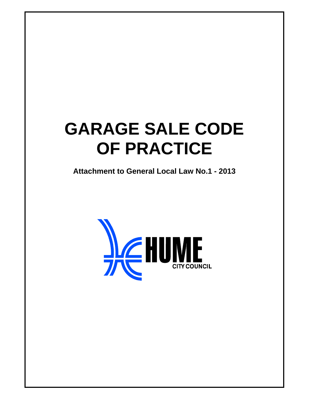# **GARAGE SALE CODE OF PRACTICE**

**Attachment to General Local Law No.1 - 2013** 

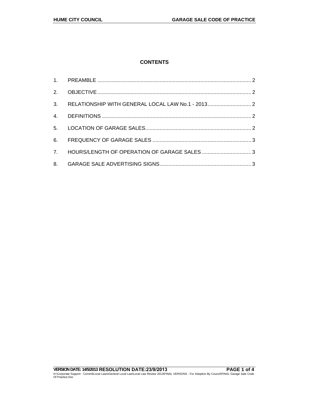# **CONTENTS**

|    | 3. RELATIONSHIP WITH GENERAL LOCAL LAW No.1 - 2013 2 |  |
|----|------------------------------------------------------|--|
|    |                                                      |  |
|    |                                                      |  |
| 6. |                                                      |  |
|    |                                                      |  |
|    |                                                      |  |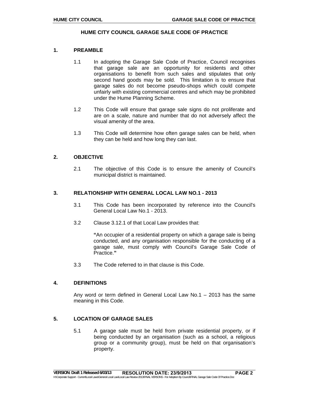#### **HUME CITY COUNCIL GARAGE SALE CODE OF PRACTICE**

### **1. PREAMBLE**

- 1.1 In adopting the Garage Sale Code of Practice, Council recognises that garage sale are an opportunity for residents and other organisations to benefit from such sales and stipulates that only second hand goods may be sold. This limitation is to ensure that garage sales do not become pseudo-shops which could compete unfairly with existing commercial centres and which may be prohibited under the Hume Planning Scheme.
- 1.2 This Code will ensure that garage sale signs do not proliferate and are on a scale, nature and number that do not adversely affect the visual amenity of the area.
- 1.3 This Code will determine how often garage sales can be held, when they can be held and how long they can last.

#### **2. OBJECTIVE**

2.1 The objective of this Code is to ensure the amenity of Council's municipal district is maintained.

#### **3. RELATIONSHIP WITH GENERAL LOCAL LAW NO.1 - 2013**

- 3.1 This Code has been incorporated by reference into the Council's General Local Law No.1 - 2013.
- 3.2 Clause 3.12.1 of that Local Law provides that:

**"**An occupier of a residential property on which a garage sale is being conducted, and any organisation responsible for the conducting of a garage sale, must comply with Council's Garage Sale Code of Practice.**"**

3.3 The Code referred to in that clause is this Code.

#### **4. DEFINITIONS**

Any word or term defined in General Local Law No.1 – 2013 has the same meaning in this Code.

# **5. LOCATION OF GARAGE SALES**

5.1 A garage sale must be held from private residential property, or if being conducted by an organisation (such as a school, a religious group or a community group), must be held on that organisation's property.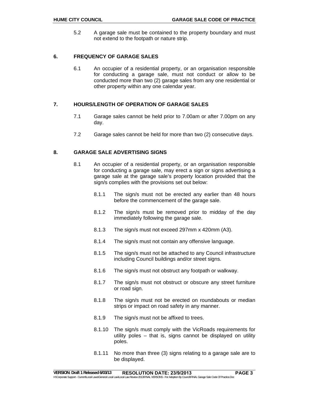5.2 A garage sale must be contained to the property boundary and must not extend to the footpath or nature strip.

### **6. FREQUENCY OF GARAGE SALES**

6.1 An occupier of a residential property, or an organisation responsible for conducting a garage sale, must not conduct or allow to be conducted more than two (2) garage sales from any one residential or other property within any one calendar year.

#### **7. HOURS/LENGTH OF OPERATION OF GARAGE SALES**

- 7.1 Garage sales cannot be held prior to 7.00am or after 7.00pm on any day.
- 7.2 Garage sales cannot be held for more than two (2) consecutive days.

## **8. GARAGE SALE ADVERTISING SIGNS**

- 8.1 An occupier of a residential property, or an organisation responsible for conducting a garage sale, may erect a sign or signs advertising a garage sale at the garage sale's property location provided that the sign/s complies with the provisions set out below:
	- 8.1.1 The sign/s must not be erected any earlier than 48 hours before the commencement of the garage sale.
	- 8.1.2 The sign/s must be removed prior to midday of the day immediately following the garage sale.
	- 8.1.3 The sign/s must not exceed 297mm x 420mm (A3).
	- 8.1.4 The sign/s must not contain any offensive language.
	- 8.1.5 The sign/s must not be attached to any Council infrastructure including Council buildings and/or street signs.
	- 8.1.6 The sign/s must not obstruct any footpath or walkway.
	- 8.1.7 The sign/s must not obstruct or obscure any street furniture or road sign.
	- 8.1.8 The sign/s must not be erected on roundabouts or median strips or impact on road safety in any manner.
	- 8.1.9 The sign/s must not be affixed to trees.
	- 8.1.10 The sign/s must comply with the VicRoads requirements for utility poles – that is, signs cannot be displayed on utility poles.
	- 8.1.11 No more than three (3) signs relating to a garage sale are to be displayed.